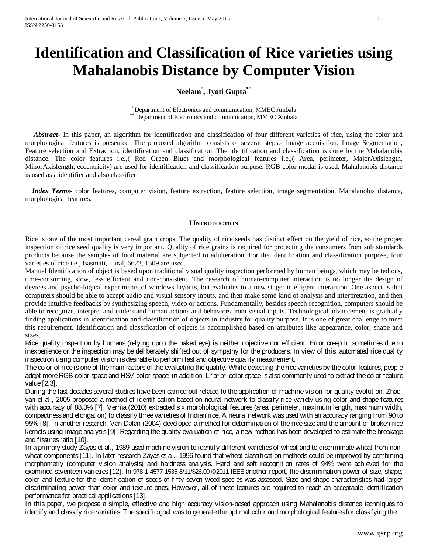# **Identification and Classification of Rice varieties using Mahalanobis Distance by Computer Vision**

## **Neelam\* , Jyoti Gupta\*\***

\* Department of Electronics and communication, MMEC Ambala \*\* Department of Electronics and communication, MMEC Ambala

 *Abstract***-** In this paper**,** an algorithm for identification and classification of four different varieties of rice, using the color and morphological features is presented. The proposed algorithm consists of several steps:- Image acquisition, Image Segmentation, Feature selection and Extraction, identification and classification. The identification and classification is done by the Mahalanobis distance. The color features i.e.,( Red Green Blue) and morphological features i.e.,( Area, perimeter, MajorAxislength, MinorAxislength, eccentricity) are used for identification and classification purpose. RGB color modal is used. Mahalanobis distance is used as a identifier and also classifier.

 *Index Terms*- color features, computer vision, feature extraction, feature selection, image segmentation, Mahalanobis distance, morphological features.

## **IINTRODUCTION**

Rice is one of the most important cereal grain crops. The quality of rice seeds has distinct effect on the yield of rice, so the proper inspection of rice seed quality is very important. Quality of rice grains is required for protecting the consumers from sub standards products because the samples of food material are subjected to adulteration. For the identification and classification purpose, four varieties of rice i.e., Basmati, Tural, 6622, 1509 are used.

Manual Identification of object is based upon traditional visual quality inspection performed by human beings, which may be tedious, time-consuming, slow, less efficient and non-consistent. The research of human-computer interaction is no longer the design of devices and psycho-logical experiments of windows layouts, but evaluates to a new stage: intelligent interaction. One aspect is that computers should be able to accept audio and visual sensory inputs, and then make some kind of analysis and interpretation, and then provide intuitive feedbacks by synthesizing speech, video or actions. Fundamentally, besides speech recognition, computers should be able to recognize, interpret and understand human actions and behaviors from visual inputs. Technological advancement is gradually finding applications in identification and classification of objects in industry for quality purpose. It is one of great challenge to meet this requirement. Identification and classification of objects is accomplished based on attributes like appearance, color, shape and sizes.

Rice quality inspection by humans (relying upon the naked eye) is neither objective nor efficient. Error creep in sometimes due to inexperience or the inspection may be deliberately shifted out of sympathy for the producers. In view of this, automated rice quality inspection using computer vision is desirable to perform fast and objective quality measurement.

The color of rice is one of the main factors of the evaluating the quality. While detecting the rice varieties by the color features, people adopt more RGB color space and HSV color space; in addition, L\*a\*b\* color space is also commonly used to extract the color feature value [2,3].

During the last decades several studies have been carried out related to the application of machine vision for quality evolution, Zhaoyan et al., 2005 proposed a method of identification based on neural network to classify rice variety using color and shape features with accuracy of 88.3% [7]. Verma (2010) extracted six morphological features (area, perimeter, maximum length, maximum width, compactness and elongation) to classify three varieties of Indian rice. A neural network was used with an accuracy ranging from 90 to 95% [8]. In another research, Van Dalan (2004) developed a method for determination of the rice size and the amount of broken rice kernels using image analysis [9]. Regarding the quality evaluation of rice, a new method has been developed to estimate the breakage and fissures ratio [10].

In a primary study Zayas et al., 1989 used machine vision to identify different varieties of wheat and to discriminate wheat from nonwheat components [11]. In later research Zayas et al., 1996 found that wheat classification methods could be improved by combining morphometry (computer vision analysis) and hardness analysis. Hard and soft recognition rates of 94% were achieved for the examined seventeen varieties [12]. In 978-1-4577-1535-8/11/\$26.00 ©2011 IEEE another report, the discrimination power of size, shape, color and texture for the identification of seeds of fifty seven weed species was assessed. Size and shape characteristics had larger discriminating power than color and texture ones. However, all of these features are required to reach an acceptable identification performance for practical applications [13].

In this paper, we propose a simple, effective and high accuracy vision-based approach using Mahalanobis distance techniques to identify and classify rice varieties. The specific goal was to generate the optimal color and morphological features for classifying the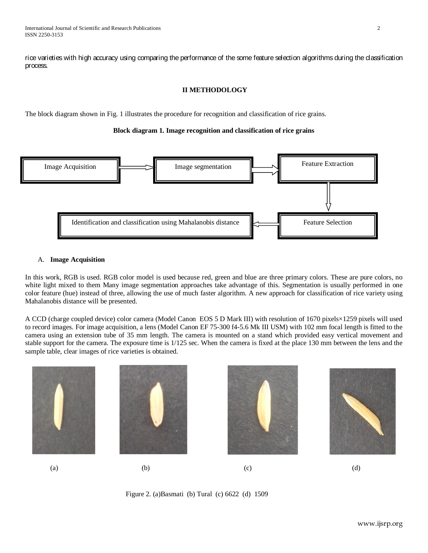rice varieties with high accuracy using comparing the performance of the some feature selection algorithms during the classification process.

## **II METHODOLOGY**

The block diagram shown in Fig. 1 illustrates the procedure for recognition and classification of rice grains.

## **Block diagram 1. Image recognition and classification of rice grains**



#### A. **Image Acquisition**

In this work, RGB is used. RGB color model is used because red, green and blue are three primary colors. These are pure colors, no white light mixed to them Many image segmentation approaches take advantage of this. Segmentation is usually performed in one color feature (hue) instead of three, allowing the use of much faster algorithm. A new approach for classification of rice variety using Mahalanobis distance will be presented.

A CCD (charge coupled device) color camera (Model Canon EOS 5 D Mark III) with resolution of 1670 pixels×1259 pixels will used to record images. For image acquisition, a lens (Model Canon EF 75-300 f4-5.6 Mk III USM) with 102 mm focal length is fitted to the camera using an extension tube of 35 mm length. The camera is mounted on a stand which provided easy vertical movement and stable support for the camera. The exposure time is 1/125 sec. When the camera is fixed at the place 130 mm between the lens and the sample table, clear images of rice varieties is obtained.



Figure 2. (a)Basmati (b) Tural (c) 6622 (d) 1509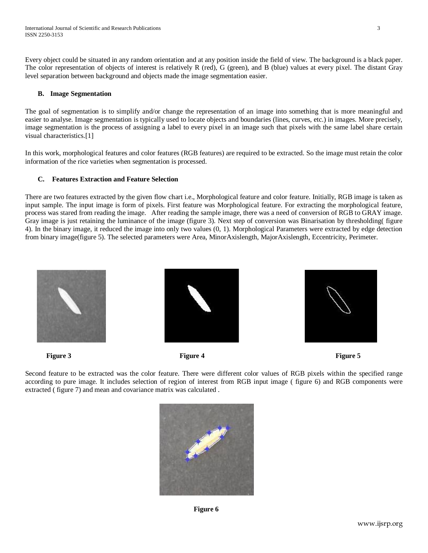Every object could be situated in any random orientation and at any position inside the field of view. The background is a black paper. The color representation of objects of interest is relatively R (red), G (green), and B (blue) values at every pixel. The distant Gray level separation between background and objects made the image segmentation easier.

## **B. Image Segmentation**

The goal of segmentation is to simplify and/or change the representation of an image into something that is more meaningful and easier to analyse. Image segmentation is typically used to locate objects and boundaries (lines, curves, etc.) in images. More precisely, image segmentation is the process of assigning a label to every pixel in an image such that pixels with the same label share certain visual characteristics.[1]

In this work, morphological features and color features (RGB features) are required to be extracted. So the image must retain the color information of the rice varieties when segmentation is processed.

## **C. Features Extraction and Feature Selection**

There are two features extracted by the given flow chart i.e., Morphological feature and color feature. Initially, RGB image is taken as input sample. The input image is form of pixels. First feature was Morphological feature. For extracting the morphological feature, process was stared from reading the image. After reading the sample image, there was a need of conversion of RGB to GRAY image. Gray image is just retaining the luminance of the image (figure 3). Next step of conversion was Binarisation by thresholding( figure 4). In the binary image, it reduced the image into only two values (0, 1). Morphological Parameters were extracted by edge detection from binary image(figure 5). The selected parameters were Area, MinorAxislength, MajorAxislength, Eccentricity, Perimeter.







**Figure 3** Figure 4 **Figure 4 Figure 5 Figure 5 Figure 5 Figure 5 Figure 5** 

Second feature to be extracted was the color feature. There were different color values of RGB pixels within the specified range according to pure image. It includes selection of region of interest from RGB input image ( figure 6) and RGB components were extracted ( figure 7) and mean and covariance matrix was calculated .



**Figure 6**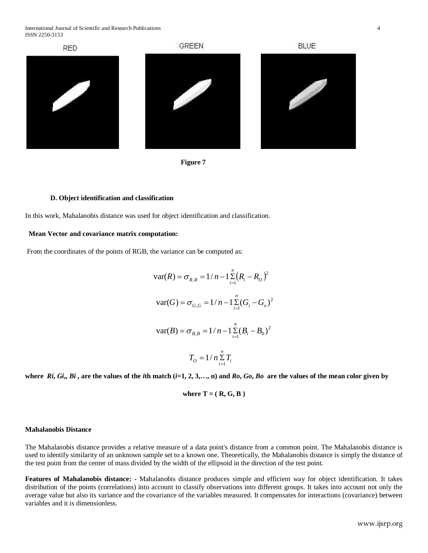International Journal of Scientific and Research Publications 4 ISSN 2250-3153





#### **D. Object identification and classification**

In this work, Mahalanobis distance was used for object identification and classification.

#### **Mean Vector and covariance matrix computation:**

From the coordinates of the points of RGB, the variance can be computed as:

$$
\text{var}(R) = \sigma_{R,R} = 1/n - 1 \sum_{i=1}^{n} (R_i - R_o)^2
$$

$$
\text{var}(G) = \sigma_{G,G} = 1/n - 1 \sum_{i=1}^{n} (G_i - G_o)^2
$$

$$
\text{var}(B) = \sigma_{B,B} = 1/n - 1 \sum_{i=1}^{n} (B_i - B_o)^2
$$

$$
T_o = 1/n \sum_{i=1}^{n} T_i
$$

where  $Ri$ ,  $Gi$ ,  $Bi$ , are the values of the *i*th match  $(i=1, 2, 3,..., n)$  and  $Ro$ ,  $Go$ ,  $Bo$  are the values of the mean color given by

where 
$$
T = (R, G, B)
$$

#### **Mahalanobis Distance**

The Mahalanobis distance provides a relative measure of a data point's distance from a common point. The Mahalanobis distance is used to identify similarity of an unknown sample set to a known one. Theoretically, the Mahalanobis distance is simply the distance of the test point from the center of mass divided by the width of the ellipsoid in the direction of the test point.

**Features of Mahalanobis distance: -** Mahalanobis distance produces simple and efficient way for object identification. It takes distribution of the points (correlations) into account to classify observations into different groups. It takes into account not only the average value but also its variance and the covariance of the variables measured. It compensates for interactions (covariance) between variables and it is dimensionless.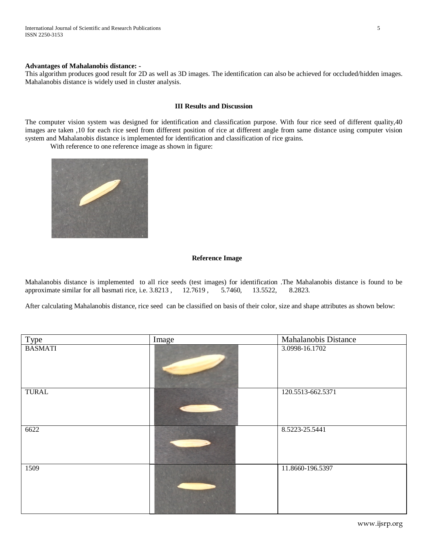#### **Advantages of Mahalanobis distance: -**

This algorithm produces good result for 2D as well as 3D images. The identification can also be achieved for occluded/hidden images. Mahalanobis distance is widely used in cluster analysis.

#### **III Results and Discussion**

The computer vision system was designed for identification and classification purpose. With four rice seed of different quality,40 images are taken ,10 for each rice seed from different position of rice at different angle from same distance using computer vision system and Mahalanobis distance is implemented for identification and classification of rice grains.

With reference to one reference image as shown in figure:



#### **Reference Image**

Mahalanobis distance is implemented to all rice seeds (test images) for identification .The Mahalanobis distance is found to be approximate similar for all basmati rice, i.e. 3.8213, 12.7619, 5.7460, 13.5522, 8.2823. approximate similar for all basmati rice, i.e. 3.8213 , 12.7619 , 5.7460, 13.5522, 8.2823.

After calculating Mahalanobis distance, rice seed can be classified on basis of their color, size and shape attributes as shown below:

| Type           | Image | <b>Mahalanobis Distance</b> |
|----------------|-------|-----------------------------|
| <b>BASMATI</b> |       | 3.0998-16.1702              |
| <b>TURAL</b>   |       | 120.5513-662.5371           |
| 6622           |       | 8.5223-25.5441              |
| 1509           |       | 11.8660-196.5397            |